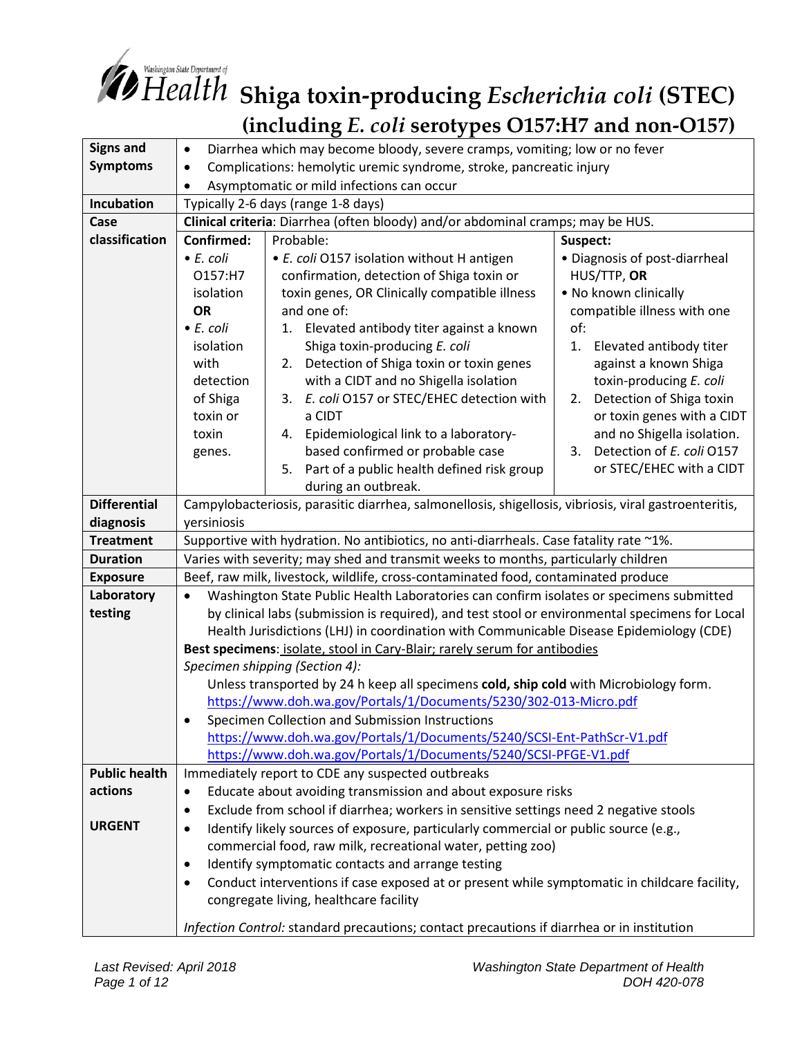

# *Share Department of* Shing to Ring a toxin-producing *Escherichia coli* (STEC) **(including** *E. coli* **serotypes O157:H7 and non-O157)**

| <b>Signs and</b>     | Diarrhea which may become bloody, severe cramps, vomiting; low or no fever<br>$\bullet$                                                                          |                                                |                                 |
|----------------------|------------------------------------------------------------------------------------------------------------------------------------------------------------------|------------------------------------------------|---------------------------------|
| <b>Symptoms</b>      | Complications: hemolytic uremic syndrome, stroke, pancreatic injury<br>$\bullet$                                                                                 |                                                |                                 |
|                      | Asymptomatic or mild infections can occur<br>$\bullet$                                                                                                           |                                                |                                 |
| Incubation           | Typically 2-6 days (range 1-8 days)                                                                                                                              |                                                |                                 |
| Case                 | Clinical criteria: Diarrhea (often bloody) and/or abdominal cramps; may be HUS.                                                                                  |                                                |                                 |
| classification       | Confirmed:                                                                                                                                                       | Probable:<br>Suspect:                          |                                 |
|                      | $\bullet$ E. coli                                                                                                                                                | • E. coli O157 isolation without H antigen     | • Diagnosis of post-diarrheal   |
|                      | O157:H7                                                                                                                                                          | confirmation, detection of Shiga toxin or      | HUS/TTP, OR                     |
|                      | isolation                                                                                                                                                        | toxin genes, OR Clinically compatible illness  | . No known clinically           |
|                      | <b>OR</b>                                                                                                                                                        | and one of:                                    | compatible illness with one     |
|                      | • E. coli                                                                                                                                                        | Elevated antibody titer against a known<br>1.  | of:                             |
|                      | isolation                                                                                                                                                        | Shiga toxin-producing E. coli                  | Elevated antibody titer<br>1.   |
|                      | with                                                                                                                                                             | Detection of Shiga toxin or toxin genes<br>2.  | against a known Shiga           |
|                      | detection                                                                                                                                                        | with a CIDT and no Shigella isolation          | toxin-producing E. coli         |
|                      | of Shiga                                                                                                                                                         | E. coli O157 or STEC/EHEC detection with<br>3. | Detection of Shiga toxin<br>2.  |
|                      | toxin or                                                                                                                                                         | a CIDT                                         | or toxin genes with a CIDT      |
|                      | toxin                                                                                                                                                            | 4. Epidemiological link to a laboratory-       | and no Shigella isolation.      |
|                      | genes.                                                                                                                                                           | based confirmed or probable case               | Detection of E. coli 0157<br>3. |
|                      |                                                                                                                                                                  | 5. Part of a public health defined risk group  | or STEC/EHEC with a CIDT        |
|                      |                                                                                                                                                                  | during an outbreak.                            |                                 |
| <b>Differential</b>  | Campylobacteriosis, parasitic diarrhea, salmonellosis, shigellosis, vibriosis, viral gastroenteritis,                                                            |                                                |                                 |
| diagnosis            | yersiniosis                                                                                                                                                      |                                                |                                 |
| <b>Treatment</b>     | Supportive with hydration. No antibiotics, no anti-diarrheals. Case fatality rate ~1%.                                                                           |                                                |                                 |
| <b>Duration</b>      | Varies with severity; may shed and transmit weeks to months, particularly children                                                                               |                                                |                                 |
| <b>Exposure</b>      | Beef, raw milk, livestock, wildlife, cross-contaminated food, contaminated produce                                                                               |                                                |                                 |
| Laboratory           | Washington State Public Health Laboratories can confirm isolates or specimens submitted<br>$\bullet$                                                             |                                                |                                 |
| testing              | by clinical labs (submission is required), and test stool or environmental specimens for Local                                                                   |                                                |                                 |
|                      | Health Jurisdictions (LHJ) in coordination with Communicable Disease Epidemiology (CDE)                                                                          |                                                |                                 |
|                      | Best specimens: isolate, stool in Cary-Blair; rarely serum for antibodies                                                                                        |                                                |                                 |
|                      | Specimen shipping (Section 4):                                                                                                                                   |                                                |                                 |
|                      | Unless transported by 24 h keep all specimens cold, ship cold with Microbiology form.                                                                            |                                                |                                 |
|                      | https://www.doh.wa.gov/Portals/1/Documents/5230/302-013-Micro.pdf                                                                                                |                                                |                                 |
|                      | Specimen Collection and Submission Instructions<br>https://www.doh.wa.gov/Portals/1/Documents/5240/SCSI-Ent-PathScr-V1.pdf                                       |                                                |                                 |
|                      |                                                                                                                                                                  |                                                |                                 |
| <b>Public health</b> | https://www.doh.wa.gov/Portals/1/Documents/5240/SCSI-PFGE-V1.pdf<br>Immediately report to CDE any suspected outbreaks                                            |                                                |                                 |
| actions              |                                                                                                                                                                  |                                                |                                 |
|                      | Educate about avoiding transmission and about exposure risks<br>$\bullet$                                                                                        |                                                |                                 |
| <b>URGENT</b>        | Exclude from school if diarrhea; workers in sensitive settings need 2 negative stools<br>$\bullet$                                                               |                                                |                                 |
|                      | Identify likely sources of exposure, particularly commercial or public source (e.g.,<br>$\bullet$<br>commercial food, raw milk, recreational water, petting zoo) |                                                |                                 |
|                      | Identify symptomatic contacts and arrange testing<br>$\bullet$                                                                                                   |                                                |                                 |
|                      | Conduct interventions if case exposed at or present while symptomatic in childcare facility,<br>$\bullet$                                                        |                                                |                                 |
|                      | congregate living, healthcare facility                                                                                                                           |                                                |                                 |
|                      | Infection Control: standard precautions; contact precautions if diarrhea or in institution                                                                       |                                                |                                 |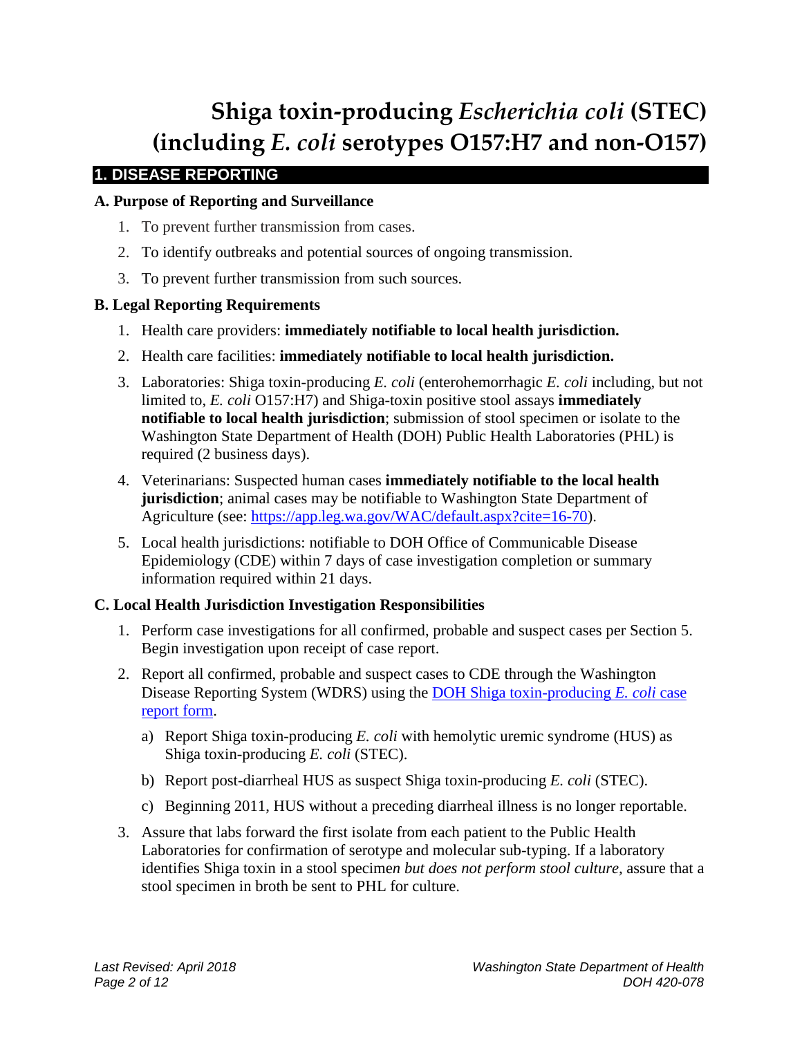# **Shiga toxin-producing** *Escherichia coli* **(STEC) (including** *E. coli* **serotypes O157:H7 and non-O157)**

# **1. DISEASE REPORTING**

# **A. Purpose of Reporting and Surveillance**

- 1. To prevent further transmission from cases.
- 2. To identify outbreaks and potential sources of ongoing transmission.
- 3. To prevent further transmission from such sources.

# **B. Legal Reporting Requirements**

- 1. Health care providers: **immediately notifiable to local health jurisdiction.**
- 2. Health care facilities: **immediately notifiable to local health jurisdiction.**
- 3. Laboratories: Shiga toxin-producing *E. coli* (enterohemorrhagic *E. coli* including, but not limited to, *E. coli* O157:H7) and Shiga-toxin positive stool assays **immediately notifiable to local health jurisdiction**; submission of stool specimen or isolate to the Washington State Department of Health (DOH) Public Health Laboratories (PHL) is required (2 business days).
- 4. Veterinarians: Suspected human cases **immediately notifiable to the local health jurisdiction**; animal cases may be notifiable to Washington State Department of Agriculture (see: [https://app.leg.wa.gov/WAC/default.aspx?cite=16-70\)](https://app.leg.wa.gov/WAC/default.aspx?cite=16-70).
- 5. Local health jurisdictions: notifiable to DOH Office of Communicable Disease Epidemiology (CDE) within 7 days of case investigation completion or summary information required within 21 days.

# **C. Local Health Jurisdiction Investigation Responsibilities**

- 1. Perform case investigations for all confirmed, probable and suspect cases per Section 5. Begin investigation upon receipt of case report.
- 2. Report all confirmed, probable and suspect cases to CDE through the Washington Disease Reporting System (WDRS) using the [DOH Shiga toxin-producing](https://www.doh.wa.gov/Portals/1/Documents/5100/210-025-ReportForm-STEC.pdf) *E. coli* case [report form.](https://www.doh.wa.gov/Portals/1/Documents/5100/210-025-ReportForm-STEC.pdf)
	- a) Report Shiga toxin-producing *E. coli* with hemolytic uremic syndrome (HUS) as Shiga toxin-producing *E. coli* (STEC).
	- b) Report post-diarrheal HUS as suspect Shiga toxin-producing *E. coli* (STEC).
	- c) Beginning 2011, HUS without a preceding diarrheal illness is no longer reportable.
- 3. Assure that labs forward the first isolate from each patient to the Public Health Laboratories for confirmation of serotype and molecular sub-typing. If a laboratory identifies Shiga toxin in a stool specime*n but does not perform stool culture,* assure that a stool specimen in broth be sent to PHL for culture.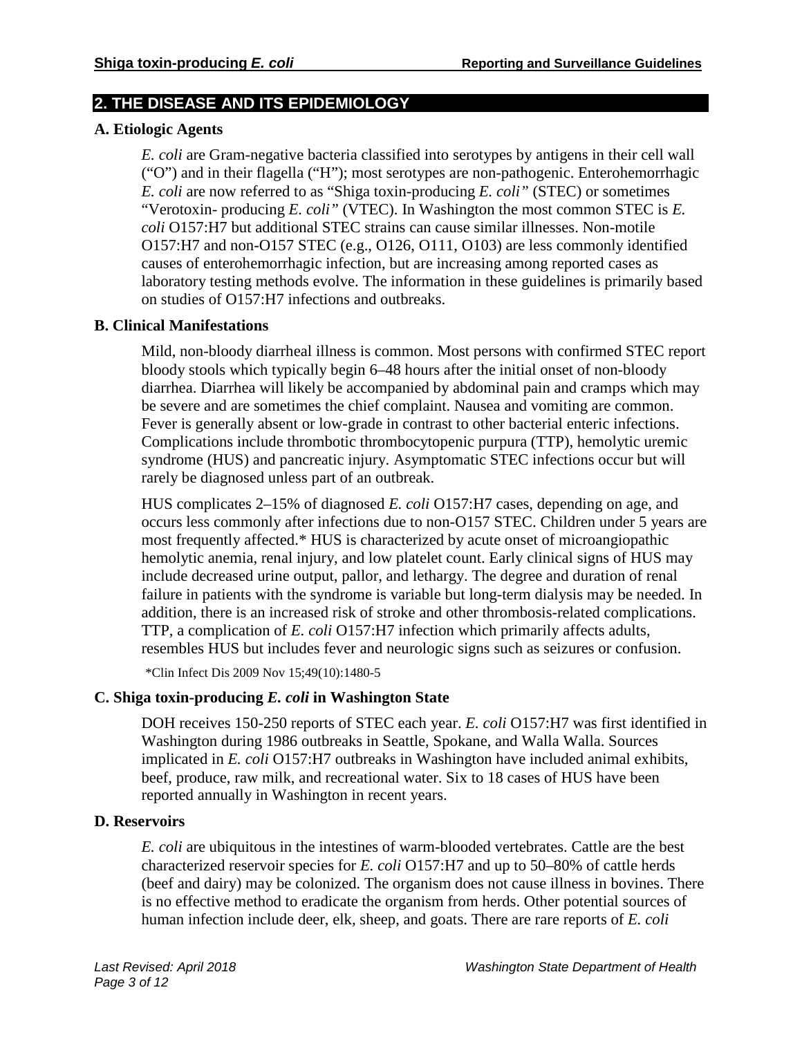# **2. THE DISEASE AND ITS EPIDEMIOLOGY**

# **A. Etiologic Agents**

*E. coli* are Gram-negative bacteria classified into serotypes by antigens in their cell wall ("O") and in their flagella ("H"); most serotypes are non-pathogenic. Enterohemorrhagic *E. coli* are now referred to as "Shiga toxin-producing *E. coli"* (STEC) or sometimes "Verotoxin- producing *E. coli"* (VTEC). In Washington the most common STEC is *E. coli* O157:H7 but additional STEC strains can cause similar illnesses. Non-motile O157:H7 and non-O157 STEC (e.g., O126, O111, O103) are less commonly identified causes of enterohemorrhagic infection, but are increasing among reported cases as laboratory testing methods evolve. The information in these guidelines is primarily based on studies of O157:H7 infections and outbreaks.

#### **B. Clinical Manifestations**

Mild, non-bloody diarrheal illness is common. Most persons with confirmed STEC report bloody stools which typically begin 6–48 hours after the initial onset of non-bloody diarrhea. Diarrhea will likely be accompanied by abdominal pain and cramps which may be severe and are sometimes the chief complaint. Nausea and vomiting are common. Fever is generally absent or low-grade in contrast to other bacterial enteric infections. Complications include thrombotic thrombocytopenic purpura (TTP), hemolytic uremic syndrome (HUS) and pancreatic injury. Asymptomatic STEC infections occur but will rarely be diagnosed unless part of an outbreak.

HUS complicates 2–15% of diagnosed *E. coli* O157:H7 cases, depending on age, and occurs less commonly after infections due to non-O157 STEC. Children under 5 years are most frequently affected.\* HUS is characterized by acute onset of microangiopathic hemolytic anemia, renal injury, and low platelet count. Early clinical signs of HUS may include decreased urine output, pallor, and lethargy. The degree and duration of renal failure in patients with the syndrome is variable but long-term dialysis may be needed. In addition, there is an increased risk of stroke and other thrombosis-related complications. TTP, a complication of *E. coli* O157:H7 infection which primarily affects adults, resembles HUS but includes fever and neurologic signs such as seizures or confusion.

\*Clin Infect Dis 2009 Nov 15;49(10):1480-5

# **C. Shiga toxin-producing** *E. coli* **in Washington State**

DOH receives 150-250 reports of STEC each year. *E. coli* O157:H7 was first identified in Washington during 1986 outbreaks in Seattle, Spokane, and Walla Walla. Sources implicated in *E. coli* O157:H7 outbreaks in Washington have included animal exhibits, beef, produce, raw milk, and recreational water. Six to 18 cases of HUS have been reported annually in Washington in recent years.

#### **D. Reservoirs**

*E. coli* are ubiquitous in the intestines of warm-blooded vertebrates. Cattle are the best characterized reservoir species for *E. coli* O157:H7 and up to 50–80% of cattle herds (beef and dairy) may be colonized. The organism does not cause illness in bovines. There is no effective method to eradicate the organism from herds. Other potential sources of human infection include deer, elk, sheep, and goats. There are rare reports of *E. coli*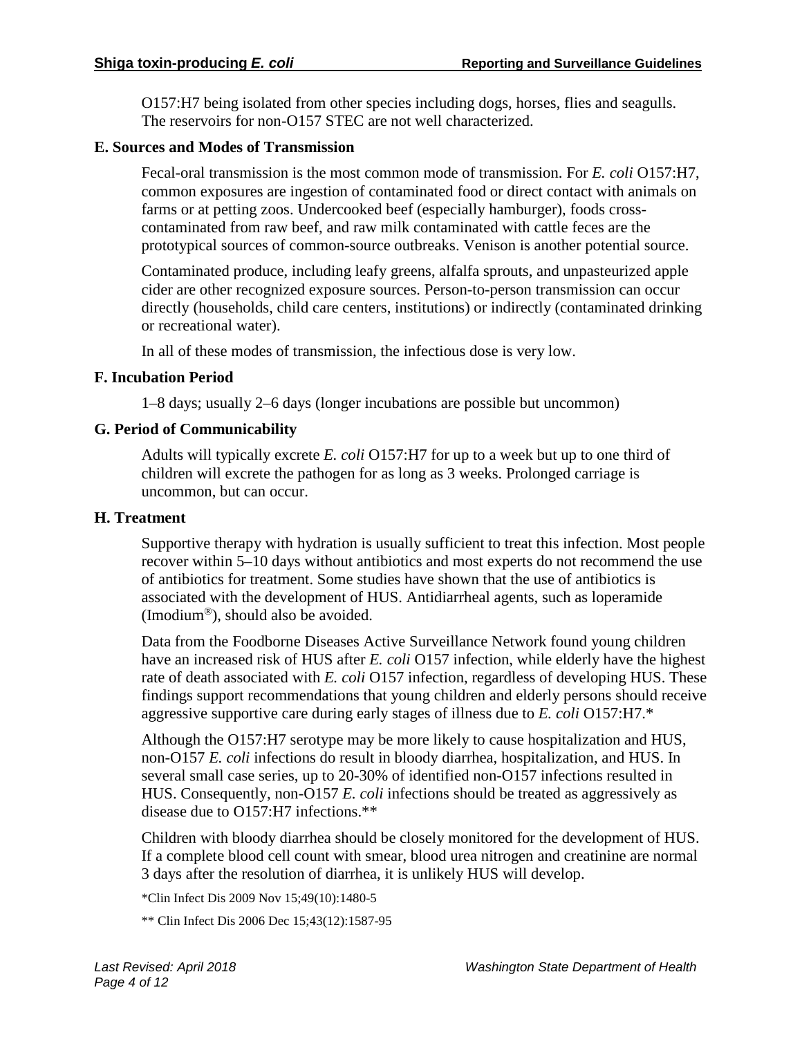O157:H7 being isolated from other species including dogs, horses, flies and seagulls. The reservoirs for non-O157 STEC are not well characterized.

#### **E. Sources and Modes of Transmission**

Fecal-oral transmission is the most common mode of transmission. For *E. coli* O157:H7, common exposures are ingestion of contaminated food or direct contact with animals on farms or at petting zoos. Undercooked beef (especially hamburger), foods crosscontaminated from raw beef, and raw milk contaminated with cattle feces are the prototypical sources of common-source outbreaks. Venison is another potential source.

Contaminated produce, including leafy greens, alfalfa sprouts, and unpasteurized apple cider are other recognized exposure sources. Person-to-person transmission can occur directly (households, child care centers, institutions) or indirectly (contaminated drinking or recreational water).

In all of these modes of transmission, the infectious dose is very low.

#### **F. Incubation Period**

1–8 days; usually 2–6 days (longer incubations are possible but uncommon)

#### **G. Period of Communicability**

Adults will typically excrete *E. coli* O157:H7 for up to a week but up to one third of children will excrete the pathogen for as long as 3 weeks. Prolonged carriage is uncommon, but can occur.

#### **H. Treatment**

Supportive therapy with hydration is usually sufficient to treat this infection. Most people recover within 5–10 days without antibiotics and most experts do not recommend the use of antibiotics for treatment. Some studies have shown that the use of antibiotics is associated with the development of HUS. Antidiarrheal agents, such as loperamide (Imodium®), should also be avoided.

Data from the Foodborne Diseases Active Surveillance Network found young children have an increased risk of HUS after *E. coli* O157 infection, while elderly have the highest rate of death associated with *E. coli* O157 infection, regardless of developing HUS. These findings support recommendations that young children and elderly persons should receive aggressive supportive care during early stages of illness due to *E. coli* O157:H7.\*

Although the O157:H7 serotype may be more likely to cause hospitalization and HUS, non-O157 *E. coli* infections do result in bloody diarrhea, hospitalization, and HUS. In several small case series, up to 20-30% of identified non-O157 infections resulted in HUS. Consequently, non-O157 *E. coli* infections should be treated as aggressively as disease due to O157:H7 infections.\*\*

Children with bloody diarrhea should be closely monitored for the development of HUS. If a complete blood cell count with smear, blood urea nitrogen and creatinine are normal 3 days after the resolution of diarrhea, it is unlikely HUS will develop.

\*Clin Infect Dis 2009 Nov 15;49(10):1480-5

\*\* Clin Infect Dis 2006 Dec 15;43(12):1587-95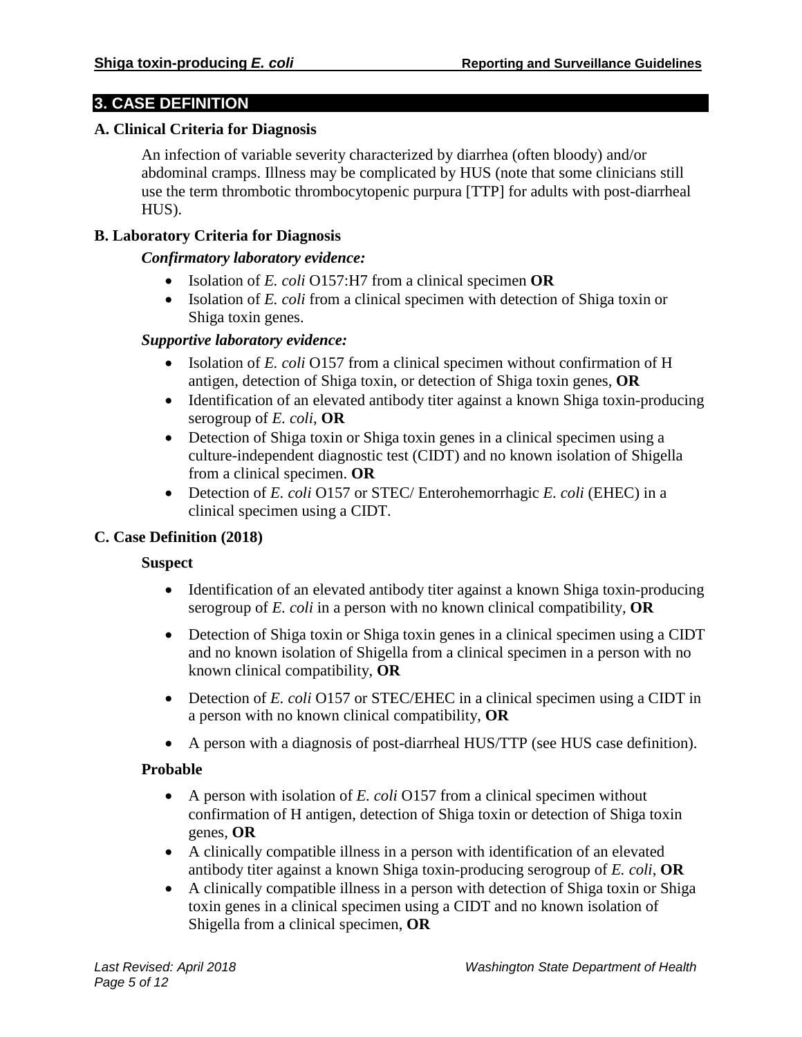# **3. CASE DEFINITION**

#### **A. Clinical Criteria for Diagnosis**

An infection of variable severity characterized by diarrhea (often bloody) and/or abdominal cramps. Illness may be complicated by HUS (note that some clinicians still use the term thrombotic thrombocytopenic purpura [TTP] for adults with post-diarrheal HUS).

## **B. Laboratory Criteria for Diagnosis**

#### *Confirmatory laboratory evidence:*

- Isolation of *E. coli* O157:H7 from a clinical specimen **OR**
- Isolation of *E. coli* from a clinical specimen with detection of Shiga toxin or Shiga toxin genes.

## *Supportive laboratory evidence:*

- Isolation of *E. coli* O157 from a clinical specimen without confirmation of H antigen, detection of Shiga toxin, or detection of Shiga toxin genes, **OR**
- Identification of an elevated antibody titer against a known Shiga toxin-producing serogroup of *E. coli*, **OR**
- Detection of Shiga toxin or Shiga toxin genes in a clinical specimen using a culture-independent diagnostic test (CIDT) and no known isolation of Shigella from a clinical specimen. **OR**
- Detection of *E. coli* O157 or STEC/ Enterohemorrhagic *E. coli* (EHEC) in a clinical specimen using a CIDT.

# **C. Case Definition (2018)**

# **Suspect**

- Identification of an elevated antibody titer against a known Shiga toxin-producing serogroup of *E. coli* in a person with no known clinical compatibility, **OR**
- Detection of Shiga toxin or Shiga toxin genes in a clinical specimen using a CIDT and no known isolation of Shigella from a clinical specimen in a person with no known clinical compatibility, **OR**
- Detection of *E. coli* O157 or STEC/EHEC in a clinical specimen using a CIDT in a person with no known clinical compatibility, **OR**
- A person with a diagnosis of post-diarrheal HUS/TTP (see HUS case definition).

#### **Probable**

- A person with isolation of *E. coli* O157 from a clinical specimen without confirmation of H antigen, detection of Shiga toxin or detection of Shiga toxin genes, **OR**
- A clinically compatible illness in a person with identification of an elevated antibody titer against a known Shiga toxin-producing serogroup of *E. coli*, **OR**
- A clinically compatible illness in a person with detection of Shiga toxin or Shiga toxin genes in a clinical specimen using a CIDT and no known isolation of Shigella from a clinical specimen, **OR**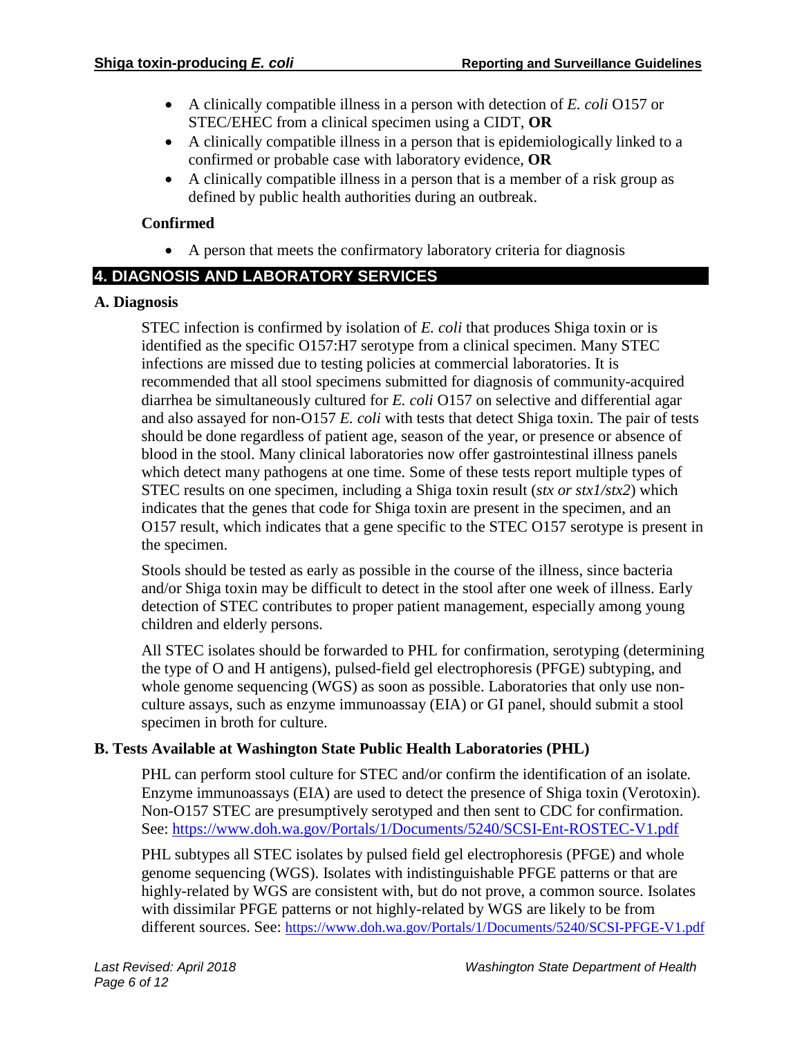- A clinically compatible illness in a person with detection of *E. coli* O157 or STEC/EHEC from a clinical specimen using a CIDT, **OR**
- A clinically compatible illness in a person that is epidemiologically linked to a confirmed or probable case with laboratory evidence, **OR**
- A clinically compatible illness in a person that is a member of a risk group as defined by public health authorities during an outbreak.

# **Confirmed**

• A person that meets the confirmatory laboratory criteria for diagnosis

# **4. DIAGNOSIS AND LABORATORY SERVICES**

# **A. Diagnosis**

STEC infection is confirmed by isolation of *E. coli* that produces Shiga toxin or is identified as the specific O157:H7 serotype from a clinical specimen. Many STEC infections are missed due to testing policies at commercial laboratories. It is recommended that all stool specimens submitted for diagnosis of community-acquired diarrhea be simultaneously cultured for *E. coli* O157 on selective and differential agar and also assayed for non-O157 *E. coli* with tests that detect Shiga toxin. The pair of tests should be done regardless of patient age, season of the year, or presence or absence of blood in the stool. Many clinical laboratories now offer gastrointestinal illness panels which detect many pathogens at one time. Some of these tests report multiple types of STEC results on one specimen, including a Shiga toxin result (*stx or stx1/stx2*) which indicates that the genes that code for Shiga toxin are present in the specimen, and an O157 result, which indicates that a gene specific to the STEC O157 serotype is present in the specimen.

Stools should be tested as early as possible in the course of the illness, since bacteria and/or Shiga toxin may be difficult to detect in the stool after one week of illness. Early detection of STEC contributes to proper patient management, especially among young children and elderly persons.

All STEC isolates should be forwarded to PHL for confirmation, serotyping (determining the type of O and H antigens), pulsed-field gel electrophoresis (PFGE) subtyping, and whole genome sequencing (WGS) as soon as possible. Laboratories that only use nonculture assays, such as enzyme immunoassay (EIA) or GI panel, should submit a stool specimen in broth for culture.

# **B. Tests Available at Washington State Public Health Laboratories (PHL)**

PHL can perform stool culture for STEC and/or confirm the identification of an isolate*.* Enzyme immunoassays (EIA) are used to detect the presence of Shiga toxin (Verotoxin). Non-O157 STEC are presumptively serotyped and then sent to CDC for confirmation. See:<https://www.doh.wa.gov/Portals/1/Documents/5240/SCSI-Ent-ROSTEC-V1.pdf>

PHL subtypes all STEC isolates by pulsed field gel electrophoresis (PFGE) and whole genome sequencing (WGS). Isolates with indistinguishable PFGE patterns or that are highly-related by WGS are consistent with, but do not prove, a common source. Isolates with dissimilar PFGE patterns or not highly-related by WGS are likely to be from different sources. See:<https://www.doh.wa.gov/Portals/1/Documents/5240/SCSI-PFGE-V1.pdf>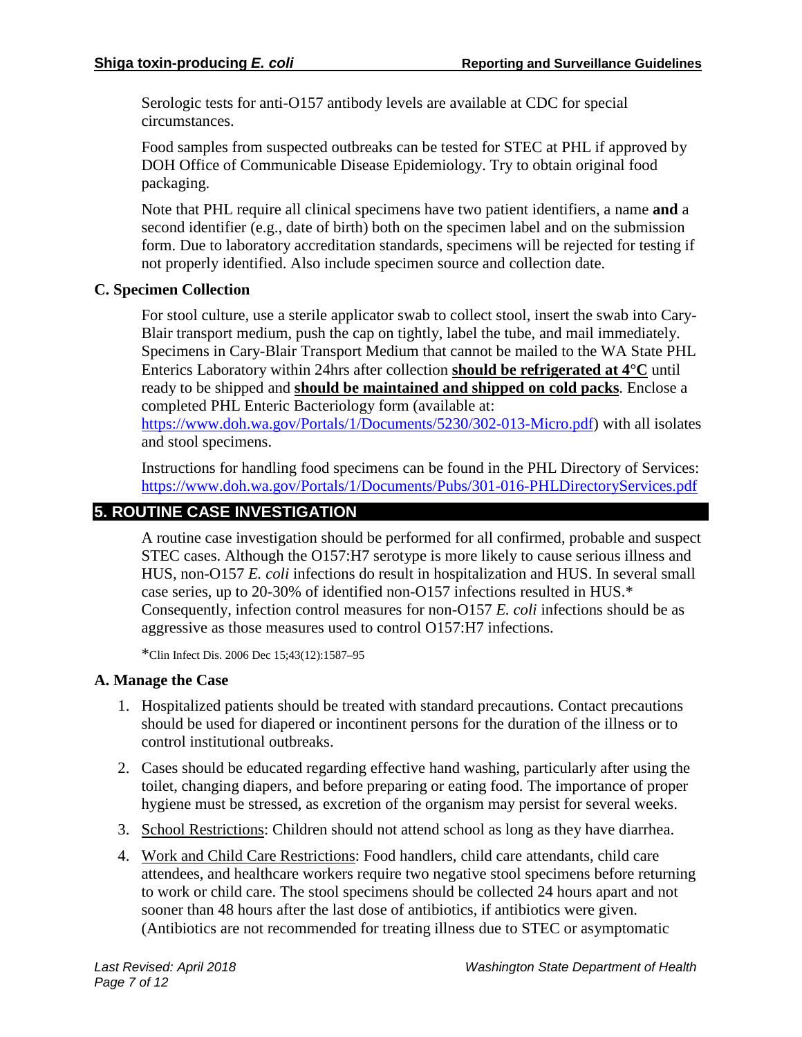Serologic tests for anti-O157 antibody levels are available at CDC for special circumstances.

Food samples from suspected outbreaks can be tested for STEC at PHL if approved by DOH Office of Communicable Disease Epidemiology. Try to obtain original food packaging.

Note that PHL require all clinical specimens have two patient identifiers, a name **and** a second identifier (e.g., date of birth) both on the specimen label and on the submission form. Due to laboratory accreditation standards, specimens will be rejected for testing if not properly identified. Also include specimen source and collection date.

## **C. Specimen Collection**

For stool culture, use a sterile applicator swab to collect stool, insert the swab into Cary-Blair transport medium, push the cap on tightly, label the tube, and mail immediately. Specimens in Cary-Blair Transport Medium that cannot be mailed to the WA State PHL Enterics Laboratory within 24hrs after collection **should be refrigerated at 4°C** until ready to be shipped and **should be maintained and shipped on cold packs**. Enclose a completed PHL Enteric Bacteriology form (available at: [https://www.doh.wa.gov/Portals/1/Documents/5230/302-013-Micro.pdf\)](https://www.doh.wa.gov/Portals/1/Documents/5230/302-013-Micro.pdf) with all isolates

and stool specimens.

Instructions for handling food specimens can be found in the PHL Directory of Services: <https://www.doh.wa.gov/Portals/1/Documents/Pubs/301-016-PHLDirectoryServices.pdf>

# **5. ROUTINE CASE INVESTIGATION**

A routine case investigation should be performed for all confirmed, probable and suspect STEC cases. Although the O157:H7 serotype is more likely to cause serious illness and HUS, non-O157 *E. coli* infections do result in hospitalization and HUS. In several small case series, up to 20-30% of identified non-O157 infections resulted in HUS.\* Consequently, infection control measures for non-O157 *E. coli* infections should be as aggressive as those measures used to control O157:H7 infections.

\*Clin Infect Dis. 2006 Dec 15;43(12):1587–95

#### **A. Manage the Case**

- 1. Hospitalized patients should be treated with standard precautions. Contact precautions should be used for diapered or incontinent persons for the duration of the illness or to control institutional outbreaks.
- 2. Cases should be educated regarding effective hand washing, particularly after using the toilet, changing diapers, and before preparing or eating food. The importance of proper hygiene must be stressed, as excretion of the organism may persist for several weeks.
- 3. School Restrictions: Children should not attend school as long as they have diarrhea.
- 4. Work and Child Care Restrictions: Food handlers, child care attendants, child care attendees, and healthcare workers require two negative stool specimens before returning to work or child care. The stool specimens should be collected 24 hours apart and not sooner than 48 hours after the last dose of antibiotics, if antibiotics were given. (Antibiotics are not recommended for treating illness due to STEC or asymptomatic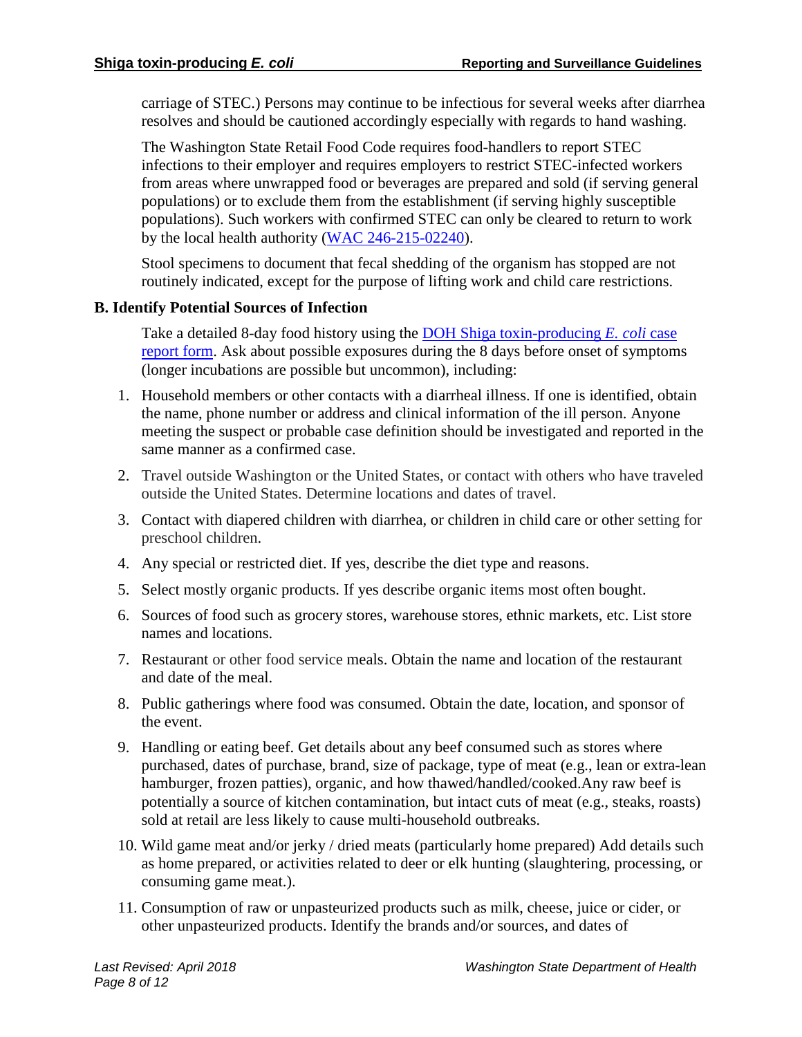carriage of STEC.) Persons may continue to be infectious for several weeks after diarrhea resolves and should be cautioned accordingly especially with regards to hand washing.

The Washington State Retail Food Code requires food-handlers to report STEC infections to their employer and requires employers to restrict STEC-infected workers from areas where unwrapped food or beverages are prepared and sold (if serving general populations) or to exclude them from the establishment (if serving highly susceptible populations). Such workers with confirmed STEC can only be cleared to return to work by the local health authority [\(WAC 246-215-02240\)](https://app.leg.wa.gov/wac/default.aspx?cite=246-215-02240).

Stool specimens to document that fecal shedding of the organism has stopped are not routinely indicated, except for the purpose of lifting work and child care restrictions.

## **B. Identify Potential Sources of Infection**

Take a detailed 8-day food history using the [DOH Shiga toxin-producing](https://www.doh.wa.gov/Portals/1/Documents/5100/210-025-ReportForm-STEC.pdf) *E. coli* case [report form.](https://www.doh.wa.gov/Portals/1/Documents/5100/210-025-ReportForm-STEC.pdf) Ask about possible exposures during the 8 days before onset of symptoms (longer incubations are possible but uncommon), including:

- 1. Household members or other contacts with a diarrheal illness. If one is identified, obtain the name, phone number or address and clinical information of the ill person. Anyone meeting the suspect or probable case definition should be investigated and reported in the same manner as a confirmed case.
- 2. Travel outside Washington or the United States, or contact with others who have traveled outside the United States. Determine locations and dates of travel.
- 3. Contact with diapered children with diarrhea, or children in child care or other setting for preschool children.
- 4. Any special or restricted diet. If yes, describe the diet type and reasons.
- 5. Select mostly organic products. If yes describe organic items most often bought.
- 6. Sources of food such as grocery stores, warehouse stores, ethnic markets, etc. List store names and locations.
- 7. Restaurant or other food service meals. Obtain the name and location of the restaurant and date of the meal.
- 8. Public gatherings where food was consumed. Obtain the date, location, and sponsor of the event.
- 9. Handling or eating beef. Get details about any beef consumed such as stores where purchased, dates of purchase, brand, size of package, type of meat (e.g., lean or extra-lean hamburger, frozen patties), organic, and how thawed/handled/cooked.Any raw beef is potentially a source of kitchen contamination, but intact cuts of meat (e.g., steaks, roasts) sold at retail are less likely to cause multi-household outbreaks.
- 10. Wild game meat and/or jerky / dried meats (particularly home prepared) Add details such as home prepared, or activities related to deer or elk hunting (slaughtering, processing, or consuming game meat.).
- 11. Consumption of raw or unpasteurized products such as milk, cheese, juice or cider, or other unpasteurized products. Identify the brands and/or sources, and dates of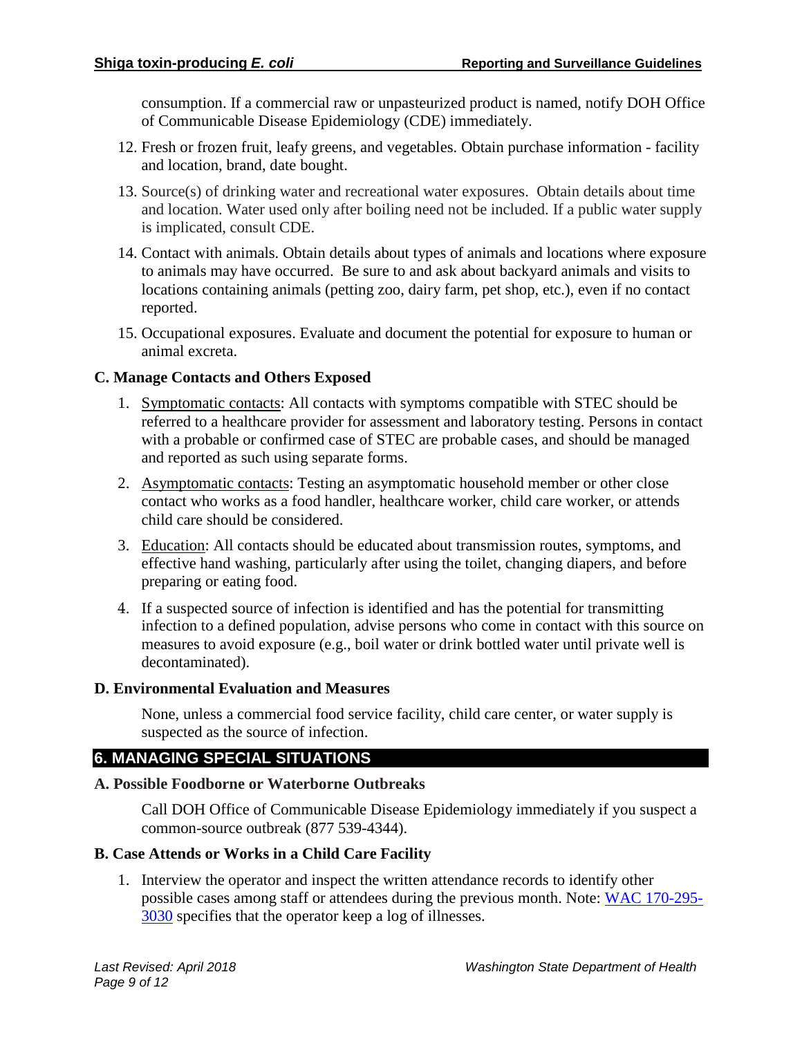consumption. If a commercial raw or unpasteurized product is named, notify DOH Office of Communicable Disease Epidemiology (CDE) immediately.

- 12. Fresh or frozen fruit, leafy greens, and vegetables. Obtain purchase information facility and location, brand, date bought.
- 13. Source(s) of drinking water and recreational water exposures. Obtain details about time and location. Water used only after boiling need not be included. If a public water supply is implicated, consult CDE.
- 14. Contact with animals. Obtain details about types of animals and locations where exposure to animals may have occurred. Be sure to and ask about backyard animals and visits to locations containing animals (petting zoo, dairy farm, pet shop, etc.), even if no contact reported.
- 15. Occupational exposures. Evaluate and document the potential for exposure to human or animal excreta.

## **C. Manage Contacts and Others Exposed**

- 1. Symptomatic contacts: All contacts with symptoms compatible with STEC should be referred to a healthcare provider for assessment and laboratory testing. Persons in contact with a probable or confirmed case of STEC are probable cases, and should be managed and reported as such using separate forms.
- 2. Asymptomatic contacts: Testing an asymptomatic household member or other close contact who works as a food handler, healthcare worker, child care worker, or attends child care should be considered.
- 3. Education: All contacts should be educated about transmission routes, symptoms, and effective hand washing, particularly after using the toilet, changing diapers, and before preparing or eating food.
- 4. If a suspected source of infection is identified and has the potential for transmitting infection to a defined population, advise persons who come in contact with this source on measures to avoid exposure (e.g., boil water or drink bottled water until private well is decontaminated).

#### **D. Environmental Evaluation and Measures**

None, unless a commercial food service facility, child care center, or water supply is suspected as the source of infection.

# **6. MANAGING SPECIAL SITUATIONS**

#### **A. Possible Foodborne or Waterborne Outbreaks**

Call DOH Office of Communicable Disease Epidemiology immediately if you suspect a common-source outbreak (877 539-4344).

# **B. Case Attends or Works in a Child Care Facility**

1. Interview the operator and inspect the written attendance records to identify other possible cases among staff or attendees during the previous month. Note: WAC [170-295-](https://app.leg.wa.gov/WAC/default.aspx?cite=170-295-3030) [3030](https://app.leg.wa.gov/WAC/default.aspx?cite=170-295-3030) specifies that the operator keep a log of illnesses.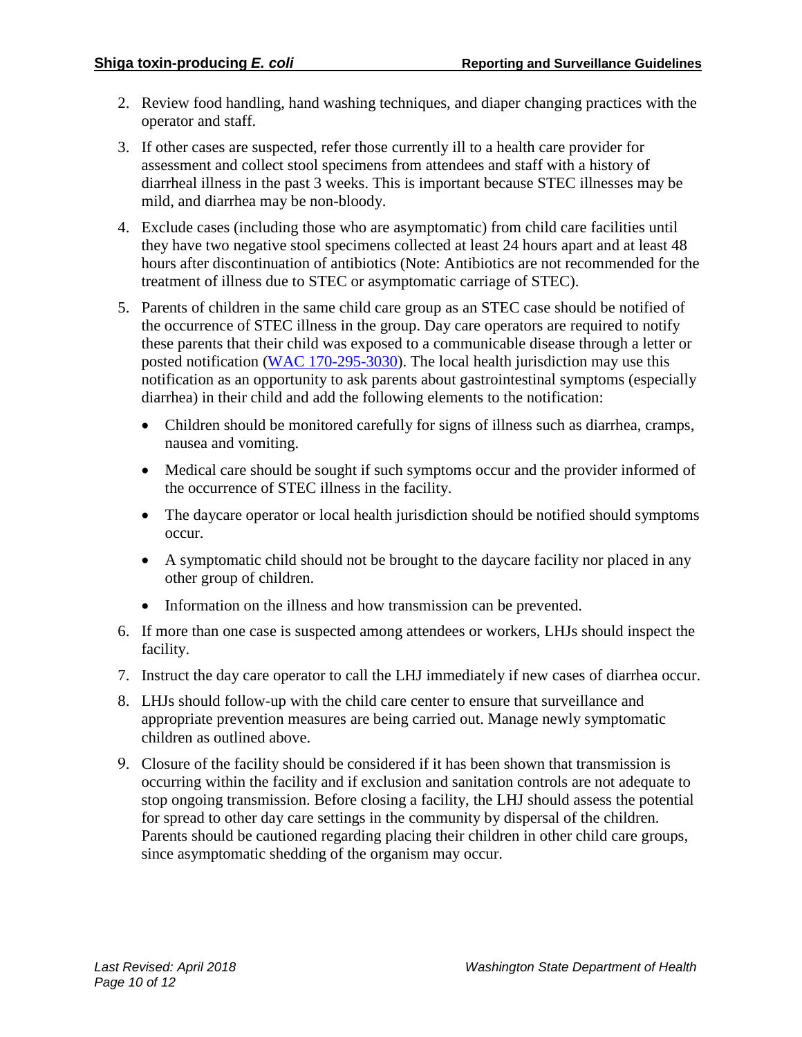- 2. Review food handling, hand washing techniques, and diaper changing practices with the operator and staff.
- 3. If other cases are suspected, refer those currently ill to a health care provider for assessment and collect stool specimens from attendees and staff with a history of diarrheal illness in the past 3 weeks. This is important because STEC illnesses may be mild, and diarrhea may be non-bloody.
- 4. Exclude cases (including those who are asymptomatic) from child care facilities until they have two negative stool specimens collected at least 24 hours apart and at least 48 hours after discontinuation of antibiotics (Note: Antibiotics are not recommended for the treatment of illness due to STEC or asymptomatic carriage of STEC).
- 5. Parents of children in the same child care group as an STEC case should be notified of the occurrence of STEC illness in the group. Day care operators are required to notify these parents that their child was exposed to a communicable disease through a letter or posted notification [\(WAC 170-295-3030\)](https://app.leg.wa.gov/WAC/default.aspx?cite=170-295-3030). The local health jurisdiction may use this notification as an opportunity to ask parents about gastrointestinal symptoms (especially diarrhea) in their child and add the following elements to the notification:
	- Children should be monitored carefully for signs of illness such as diarrhea, cramps, nausea and vomiting.
	- Medical care should be sought if such symptoms occur and the provider informed of the occurrence of STEC illness in the facility.
	- The daycare operator or local health jurisdiction should be notified should symptoms occur.
	- A symptomatic child should not be brought to the daycare facility nor placed in any other group of children.
	- Information on the illness and how transmission can be prevented.
- 6. If more than one case is suspected among attendees or workers, LHJs should inspect the facility.
- 7. Instruct the day care operator to call the LHJ immediately if new cases of diarrhea occur.
- 8. LHJs should follow-up with the child care center to ensure that surveillance and appropriate prevention measures are being carried out. Manage newly symptomatic children as outlined above.
- 9. Closure of the facility should be considered if it has been shown that transmission is occurring within the facility and if exclusion and sanitation controls are not adequate to stop ongoing transmission. Before closing a facility, the LHJ should assess the potential for spread to other day care settings in the community by dispersal of the children. Parents should be cautioned regarding placing their children in other child care groups, since asymptomatic shedding of the organism may occur.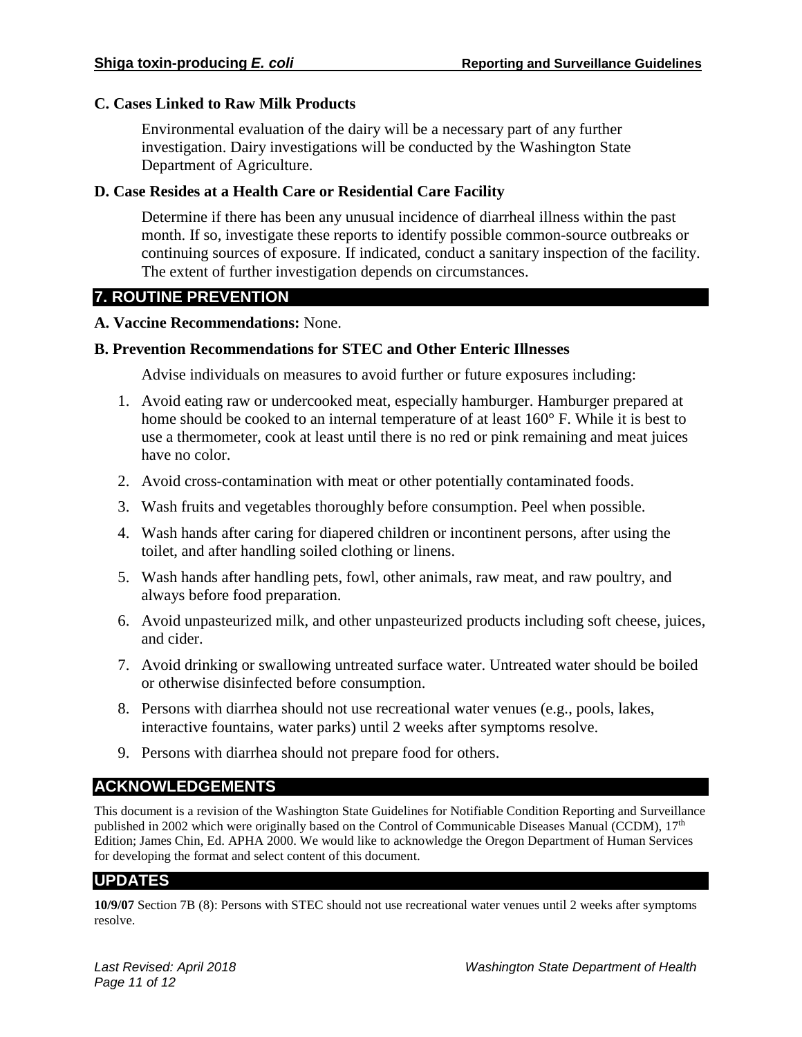## **C. Cases Linked to Raw Milk Products**

Environmental evaluation of the dairy will be a necessary part of any further investigation. Dairy investigations will be conducted by the Washington State Department of Agriculture.

## **D. Case Resides at a Health Care or Residential Care Facility**

Determine if there has been any unusual incidence of diarrheal illness within the past month. If so, investigate these reports to identify possible common-source outbreaks or continuing sources of exposure. If indicated, conduct a sanitary inspection of the facility. The extent of further investigation depends on circumstances.

# **7. ROUTINE PREVENTION**

#### **A. Vaccine Recommendations:** None.

## **B. Prevention Recommendations for STEC and Other Enteric Illnesses**

Advise individuals on measures to avoid further or future exposures including:

- 1. Avoid eating raw or undercooked meat, especially hamburger. Hamburger prepared at home should be cooked to an internal temperature of at least 160° F. While it is best to use a thermometer, cook at least until there is no red or pink remaining and meat juices have no color.
- 2. Avoid cross-contamination with meat or other potentially contaminated foods.
- 3. Wash fruits and vegetables thoroughly before consumption. Peel when possible.
- 4. Wash hands after caring for diapered children or incontinent persons, after using the toilet, and after handling soiled clothing or linens.
- 5. Wash hands after handling pets, fowl, other animals, raw meat, and raw poultry, and always before food preparation.
- 6. Avoid unpasteurized milk, and other unpasteurized products including soft cheese, juices, and cider.
- 7. Avoid drinking or swallowing untreated surface water. Untreated water should be boiled or otherwise disinfected before consumption.
- 8. Persons with diarrhea should not use recreational water venues (e.g., pools, lakes, interactive fountains, water parks) until 2 weeks after symptoms resolve.
- 9. Persons with diarrhea should not prepare food for others.

# **ACKNOWLEDGEMENTS**

This document is a revision of the Washington State Guidelines for Notifiable Condition Reporting and Surveillance published in 2002 which were originally based on the Control of Communicable Diseases Manual (CCDM),  $17<sup>th</sup>$ Edition; James Chin, Ed. APHA 2000. We would like to acknowledge the Oregon Department of Human Services for developing the format and select content of this document.

# **UPDATES**

**10/9/07** Section 7B (8): Persons with STEC should not use recreational water venues until 2 weeks after symptoms resolve.